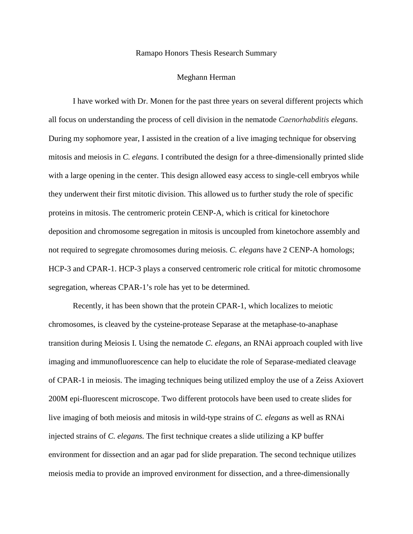## Ramapo Honors Thesis Research Summary

## Meghann Herman

I have worked with Dr. Monen for the past three years on several different projects which all focus on understanding the process of cell division in the nematode *Caenorhabditis elegans*. During my sophomore year, I assisted in the creation of a live imaging technique for observing mitosis and meiosis in *C. elegans*. I contributed the design for a three-dimensionally printed slide with a large opening in the center. This design allowed easy access to single-cell embryos while they underwent their first mitotic division. This allowed us to further study the role of specific proteins in mitosis. The centromeric protein CENP-A, which is critical for kinetochore deposition and chromosome segregation in mitosis is uncoupled from kinetochore assembly and not required to segregate chromosomes during meiosis. *C. elegans* have 2 CENP-A homologs; HCP-3 and CPAR-1. HCP-3 plays a conserved centromeric role critical for mitotic chromosome segregation, whereas CPAR-1's role has yet to be determined.

Recently, it has been shown that the protein CPAR-1, which localizes to meiotic chromosomes, is cleaved by the cysteine-protease Separase at the metaphase-to-anaphase transition during Meiosis I. Using the nematode *C. elegans*, an RNAi approach coupled with live imaging and immunofluorescence can help to elucidate the role of Separase-mediated cleavage of CPAR-1 in meiosis. The imaging techniques being utilized employ the use of a Zeiss Axiovert 200M epi-fluorescent microscope. Two different protocols have been used to create slides for live imaging of both meiosis and mitosis in wild-type strains of *C. elegans* as well as RNAi injected strains of *C. elegans.* The first technique creates a slide utilizing a KP buffer environment for dissection and an agar pad for slide preparation. The second technique utilizes meiosis media to provide an improved environment for dissection, and a three-dimensionally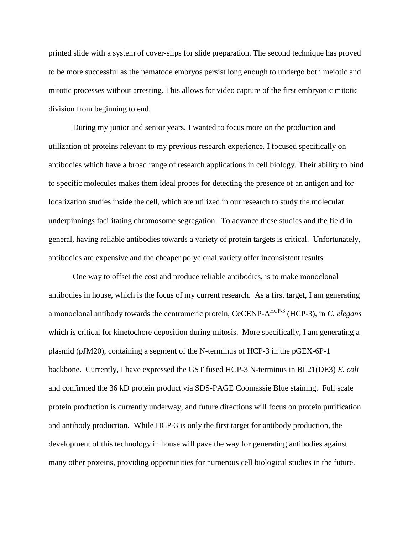printed slide with a system of cover-slips for slide preparation. The second technique has proved to be more successful as the nematode embryos persist long enough to undergo both meiotic and mitotic processes without arresting. This allows for video capture of the first embryonic mitotic division from beginning to end.

During my junior and senior years, I wanted to focus more on the production and utilization of proteins relevant to my previous research experience. I focused specifically on antibodies which have a broad range of research applications in cell biology. Their ability to bind to specific molecules makes them ideal probes for detecting the presence of an antigen and for localization studies inside the cell, which are utilized in our research to study the molecular underpinnings facilitating chromosome segregation. To advance these studies and the field in general, having reliable antibodies towards a variety of protein targets is critical. Unfortunately, antibodies are expensive and the cheaper polyclonal variety offer inconsistent results.

One way to offset the cost and produce reliable antibodies, is to make monoclonal antibodies in house, which is the focus of my current research. As a first target, I am generating a monoclonal antibody towards the centromeric protein, CeCENP-AHCP-3 (HCP-3), in *C. elegans* which is critical for kinetochore deposition during mitosis. More specifically, I am generating a plasmid (pJM20), containing a segment of the N-terminus of HCP-3 in the pGEX-6P-1 backbone. Currently, I have expressed the GST fused HCP-3 N-terminus in BL21(DE3) *E. coli* and confirmed the 36 kD protein product via SDS-PAGE Coomassie Blue staining. Full scale protein production is currently underway, and future directions will focus on protein purification and antibody production. While HCP-3 is only the first target for antibody production, the development of this technology in house will pave the way for generating antibodies against many other proteins, providing opportunities for numerous cell biological studies in the future.